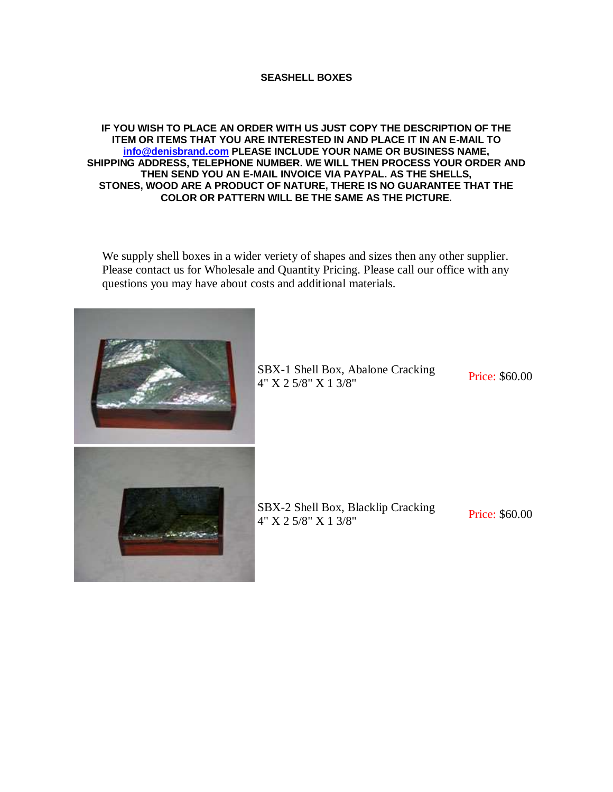## **SEASHELL BOXES**

## **IF YOU WISH TO PLACE AN ORDER WITH US JUST COPY THE DESCRIPTION OF THE ITEM OR ITEMS THAT YOU ARE INTERESTED IN AND PLACE IT IN AN E-MAIL TO [info@denisbrand.com](mailto:info@denisbrand.com) PLEASE INCLUDE YOUR NAME OR BUSINESS NAME, SHIPPING ADDRESS, TELEPHONE NUMBER. WE WILL THEN PROCESS YOUR ORDER AND THEN SEND YOU AN E-MAIL INVOICE VIA PAYPAL. AS THE SHELLS, STONES, WOOD ARE A PRODUCT OF NATURE, THERE IS NO GUARANTEE THAT THE COLOR OR PATTERN WILL BE THE SAME AS THE PICTURE.**

We supply shell boxes in a wider veriety of shapes and sizes then any other supplier. Please contact us for Wholesale and Quantity Pricing. Please call our office with any questions you may have about costs and additional materials.



SBX-1 Shell Box, Abalone Cracking **EXAMPLE 25 5 5 5 5 5 5 5 5 5 60.00**<br>4" X 2 5/8" X 1 3/8"

SBX-2 Shell Box, Blacklip Cracking **EXALUATE:** SHEN DOX, BLACKING CRACKING<br>4" X 2 5/8" X 1 3/8"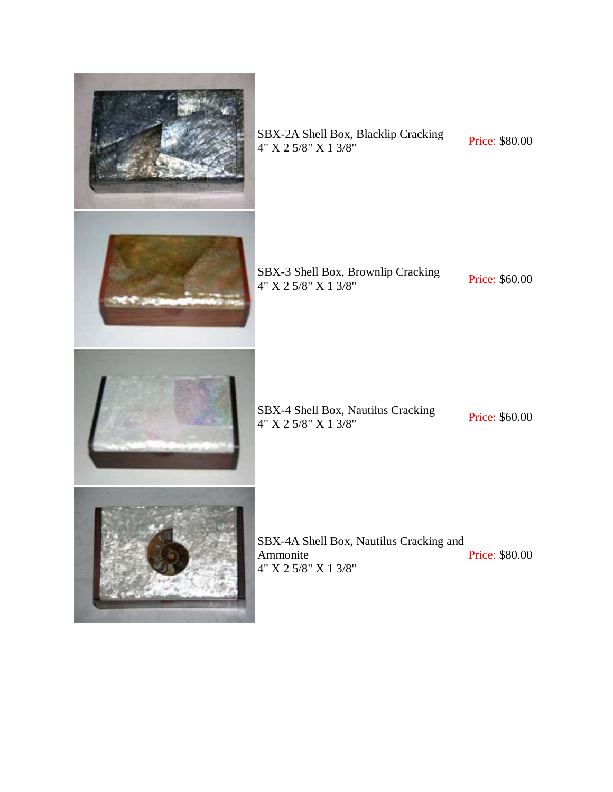

SBX-2A Shell Box, Blacklip Cracking SBX-2A Shell Box, Blacklip Cracking<br> $4" X 2 5/8" X 1 3/8"$  Price: \$80.00

SBX-3 Shell Box, Brownlip Cracking SBX-3 Shell Box, Browning Cracking<br> $4''$  X 2 5/8" X 1 3/8" Price: \$60.00

SBX-4 Shell Box, Nautilus Cracking<br>
4" X 2 5/8" X 1 3/8" Price: \$60.00



SBX-4A Shell Box, Nautilus Cracking and Ammonite 4" X 2 5/8" X 1 3/8" Price: \$80.00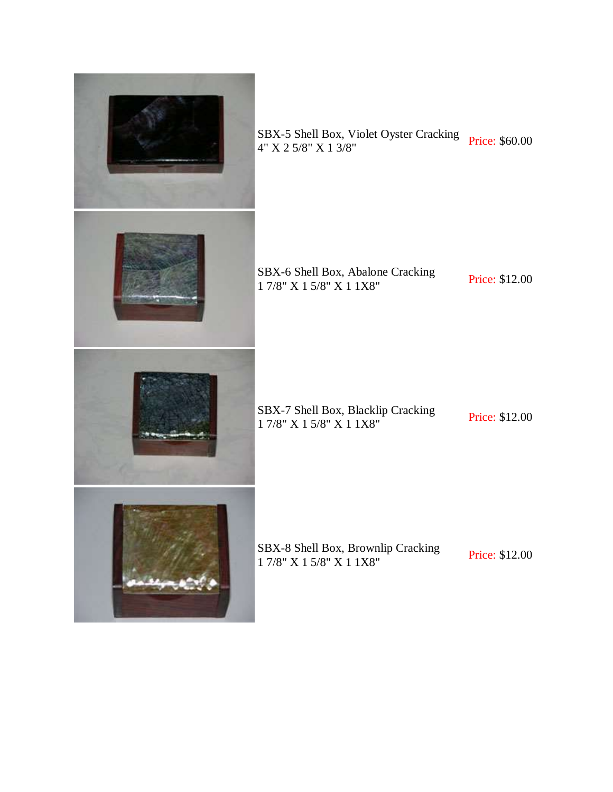

SBX-5 Shell Box, Violet Oyster Cracking Price: \$60.00<br>4" X 2 5/8" X 1 3/8"

SBX-6 Shell Box, Abalone Cracking SBX-6 Shell Box, Abalone Cracking<br>1 7/8" X 1 5/8" X 1 1 X8"

SBX-7 Shell Box, Blacklip Cracking<br>
1 7/8" X 1 5/8" X 1 1 X8" Price: \$12.00

SBX-8 Shell Box, Brownlip Cracking<br>
1 7/8" X 1 5/8" X 1 1 X8" Price: \$12.00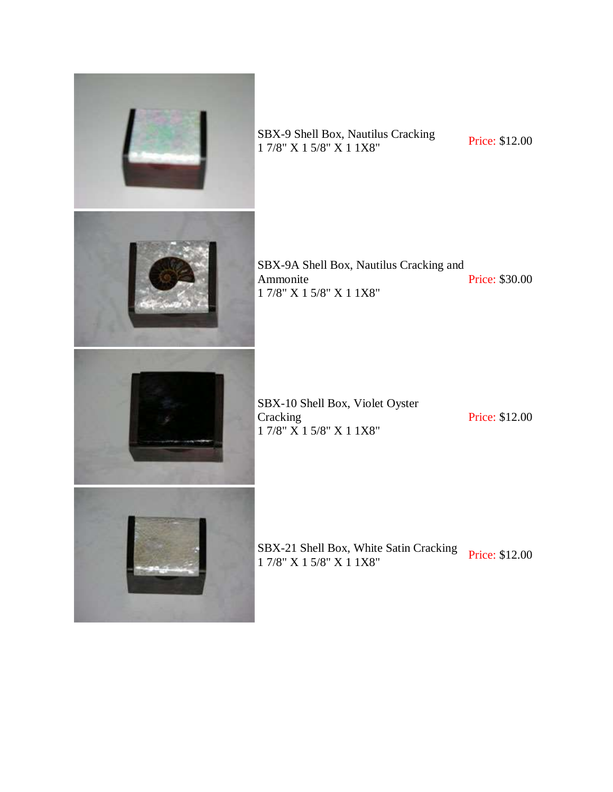

SBX-9 Shell Box, Nautilus Cracking SBX-9 Shell Box, Nautilus Cracking<br>1 7/8" X 1 5/8" X 1 1 X8"

SBX-9A Shell Box, Nautilus Cracking and Ammonite 1 7/8" X 1 5/8" X 1 1X8" Price: \$30.00

SBX-10 Shell Box, Violet Oyster Cracking 1 7/8" X 1 5/8" X 1 1X8"

Price: \$12.00

SBX-21 Shell Box, White Satin Cracking Price: \$12.00<br>1 7/8" X 1 5/8" X 1 1X8"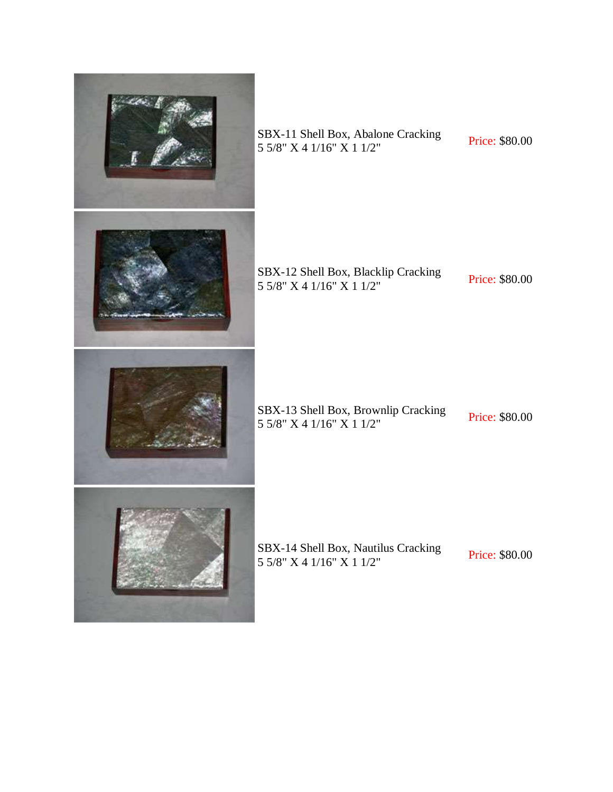

SBX-11 Shell Box, Abalone Cracking SBX-11 Shell Box, Abalone Cracking<br>5 5/8" X 4 1/16" X 1 1/2" Price: \$80.00

SBX-12 Shell Box, Blacklip Cracking<br>5 5/8" X 4 1/16" X 1 1/2" Price: \$80.00

SBX-13 Shell Box, Brownlip Cracking<br>5 5/8" X 4 1/16" X 1 1/2"

SBX-14 Shell Box, Nautilus Cracking 5 5/8" X 4 1/16" X 1 1/2" Price: \$80.00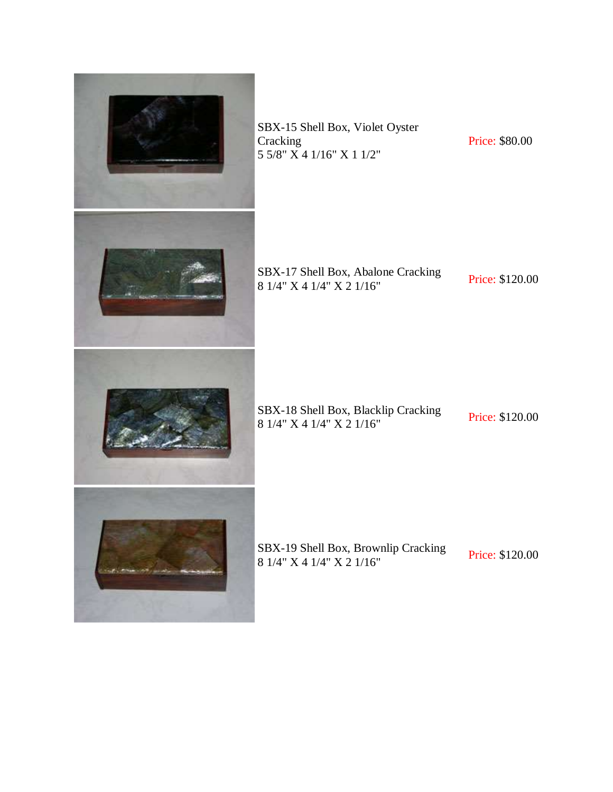

SBX-15 Shell Box, Violet Oyster Cracking 5 5/8" X 4 1/16" X 1 1/2"

Price: \$80.00

SBX-17 Shell Box, Abalone Cracking 8 1/4" X 4 1/4" X 2 1/16" Price: \$120.00

SBX-18 Shell Box, Blacklip Cracking<br>8 1/4" X 4 1/4" X 2 1/16" Price: \$120.00

SBX-19 Shell Box, Brownlip Cracking **8 1/4" X 4 1/4" X 2 1/16"** Price: \$120.00